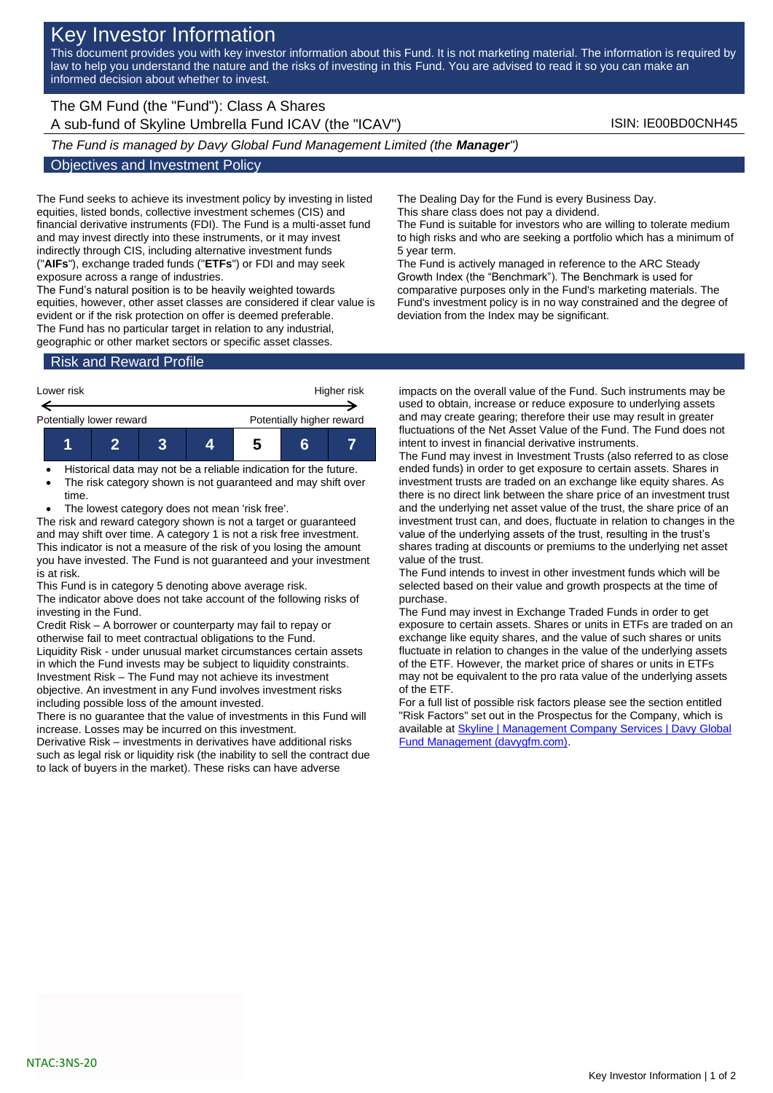# Key Investor Information

This document provides you with key investor information about this Fund. It is not marketing material. The information is required by law to help you understand the nature and the risks of investing in this Fund. You are advised to read it so you can make an informed decision about whether to invest.

The GM Fund (the "Fund"): Class A Shares A sub-fund of Skyline Umbrella Fund ICAV (the "ICAV") ISIN: IE00BD0CNH45

*The Fund is managed by Davy Global Fund Management Limited (the Manager")*

### Objectives and Investment Policy

The Fund seeks to achieve its investment policy by investing in listed equities, listed bonds, collective investment schemes (CIS) and financial derivative instruments (FDI). The Fund is a multi-asset fund and may invest directly into these instruments, or it may invest indirectly through CIS, including alternative investment funds ("**AIFs**"), exchange traded funds ("**ETFs**") or FDI and may seek exposure across a range of industries.

The Fund's natural position is to be heavily weighted towards equities, however, other asset classes are considered if clear value is evident or if the risk protection on offer is deemed preferable. The Fund has no particular target in relation to any industrial, geographic or other market sectors or specific asset classes.

The Dealing Day for the Fund is every Business Day. This share class does not pay a dividend.

The Fund is suitable for investors who are willing to tolerate medium to high risks and who are seeking a portfolio which has a minimum of 5 year term.

The Fund is actively managed in reference to the ARC Steady Growth Index (the "Benchmark"). The Benchmark is used for comparative purposes only in the Fund's marketing materials. The Fund's investment policy is in no way constrained and the degree of deviation from the Index may be significant.

## Risk and Reward Profile



- Historical data may not be a reliable indication for the future.
- The risk category shown is not guaranteed and may shift over time.
- The lowest category does not mean 'risk free'.

The risk and reward category shown is not a target or guaranteed and may shift over time. A category 1 is not a risk free investment. This indicator is not a measure of the risk of you losing the amount you have invested. The Fund is not guaranteed and your investment is at risk.

This Fund is in category 5 denoting above average risk.

The indicator above does not take account of the following risks of investing in the Fund.

Credit Risk – A borrower or counterparty may fail to repay or otherwise fail to meet contractual obligations to the Fund. Liquidity Risk - under unusual market circumstances certain assets in which the Fund invests may be subject to liquidity constraints. Investment Risk – The Fund may not achieve its investment objective. An investment in any Fund involves investment risks including possible loss of the amount invested.

There is no guarantee that the value of investments in this Fund will increase. Losses may be incurred on this investment.

Derivative Risk – investments in derivatives have additional risks such as legal risk or liquidity risk (the inability to sell the contract due to lack of buyers in the market). These risks can have adverse

impacts on the overall value of the Fund. Such instruments may be used to obtain, increase or reduce exposure to underlying assets and may create gearing; therefore their use may result in greater fluctuations of the Net Asset Value of the Fund. The Fund does not intent to invest in financial derivative instruments.

The Fund may invest in Investment Trusts (also referred to as close ended funds) in order to get exposure to certain assets. Shares in investment trusts are traded on an exchange like equity shares. As there is no direct link between the share price of an investment trust and the underlying net asset value of the trust, the share price of an investment trust can, and does, fluctuate in relation to changes in the value of the underlying assets of the trust, resulting in the trust's shares trading at discounts or premiums to the underlying net asset value of the trust.

The Fund intends to invest in other investment funds which will be selected based on their value and growth prospects at the time of purchase.

The Fund may invest in Exchange Traded Funds in order to get exposure to certain assets. Shares or units in ETFs are traded on an exchange like equity shares, and the value of such shares or units fluctuate in relation to changes in the value of the underlying assets of the ETF. However, the market price of shares or units in ETFs may not be equivalent to the pro rata value of the underlying assets of the ETF.

For a full list of possible risk factors please see the section entitled "Risk Factors" set out in the Prospectus for the Company, which is available a[t Skyline | Management Company Services | Davy Global](https://www.davygfm.com/funds-factsheets/management-company-services/ireland/skyline.html)  [Fund Management \(davygfm.com\).](https://www.davygfm.com/funds-factsheets/management-company-services/ireland/skyline.html)